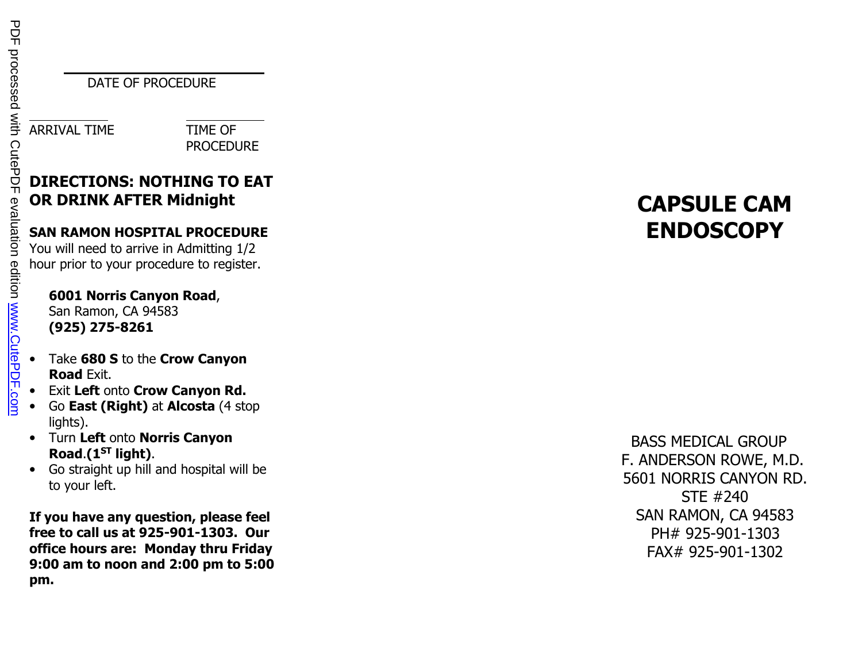DATE OF PROCEDURE

ARRIVAL TIME TIME OF

PROCEDURE

# **DIRECTIONS: NOTHING TO EAT OR DRINK AFTER Midnight**

## **SAN RAMON HOSPITAL PROCEDURE**

You will need to arrive in Admitting 1/2 hour prior to your procedure to register.

## **6001 Norris Canyon Road**, San Ramon, CA 94583

**(925) 275-8261** 

- • Take **680 S** to the **Crow Canyon Road** Exit.
- Exit **Left** onto **Crow Canyon Rd.** •
- • Go **East (Right)** at **Alcosta** (4 stop lights).
- Turn **Left** onto **Norris Canyon Road**.**(1ST light)**.
- Go straight up hill and hospital will be  $\bullet$ to your left.

**If you have any question, please feel free to call us at 925-901-1303. Our office hours are: Monday thru Friday 9:00 am to noon and 2:00 pm to 5:00 pm.** 

# **CAPSULE CAMENDOSCOPY**

## BASS MEDICAL GROUP F. ANDERSON ROWE, M.D. 5601 NORRIS CANYON RD. STE #240 SAN RAMON, CA 94583 PH# 925-901-1303FAX# 925-901-1302